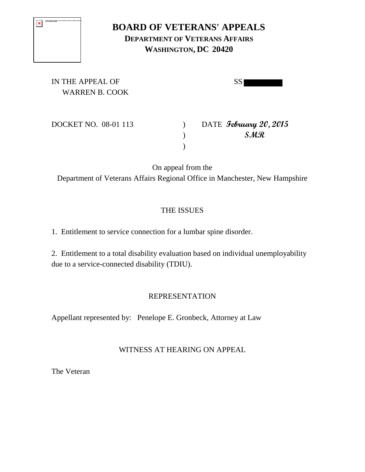| The first maps cannot be disposed. The fact may have moved, screened, or started, with that the<br>parts to the comest the and heatless. |
|------------------------------------------------------------------------------------------------------------------------------------------|
|                                                                                                                                          |
|                                                                                                                                          |
|                                                                                                                                          |

# **BOARD OF VETERANS' APPEALS DEPARTMENT OF VETERANS AFFAIRS WASHINGTON, DC 20420**

IN THE APPEAL OF SSI WARREN B. COOK

DOCKET NO. 08-01 113 ) DATE **February 20, 2015** ) **SMR**

On appeal from the Department of Veterans Affairs Regional Office in Manchester, New Hampshire

 $\lambda$ 

# THE ISSUES

1. Entitlement to service connection for a lumbar spine disorder.

2. Entitlement to a total disability evaluation based on individual unemployability due to a service-connected disability (TDIU).

# REPRESENTATION

Appellant represented by: Penelope E. Gronbeck, Attorney at Law

# WITNESS AT HEARING ON APPEAL

The Veteran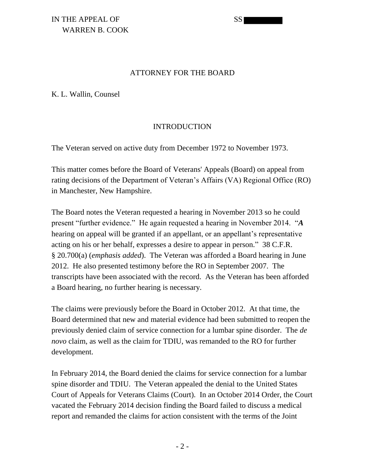### IN THE APPEAL OF SSI WARREN B. COOK

#### ATTORNEY FOR THE BOARD

K. L. Wallin, Counsel

#### INTRODUCTION

The Veteran served on active duty from December 1972 to November 1973.

This matter comes before the Board of Veterans' Appeals (Board) on appeal from rating decisions of the Department of Veteran's Affairs (VA) Regional Office (RO) in Manchester, New Hampshire.

The Board notes the Veteran requested a hearing in November 2013 so he could present "further evidence." He again requested a hearing in November 2014. "*A*  hearing on appeal will be granted if an appellant, or an appellant's representative acting on his or her behalf, expresses a desire to appear in person." 38 C.F.R. § 20.700(a) (*emphasis added*). The Veteran was afforded a Board hearing in June 2012. He also presented testimony before the RO in September 2007. The transcripts have been associated with the record. As the Veteran has been afforded a Board hearing, no further hearing is necessary.

The claims were previously before the Board in October 2012. At that time, the Board determined that new and material evidence had been submitted to reopen the previously denied claim of service connection for a lumbar spine disorder. The *de novo* claim, as well as the claim for TDIU, was remanded to the RO for further development.

In February 2014, the Board denied the claims for service connection for a lumbar spine disorder and TDIU. The Veteran appealed the denial to the United States Court of Appeals for Veterans Claims (Court). In an October 2014 Order, the Court vacated the February 2014 decision finding the Board failed to discuss a medical report and remanded the claims for action consistent with the terms of the Joint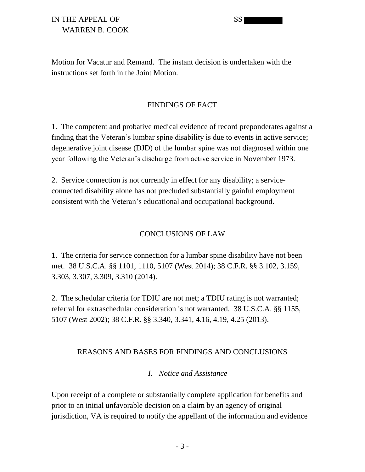### IN THE APPEAL OF SS WARREN B. COOK

Motion for Vacatur and Remand. The instant decision is undertaken with the instructions set forth in the Joint Motion.

### FINDINGS OF FACT

1. The competent and probative medical evidence of record preponderates against a finding that the Veteran's lumbar spine disability is due to events in active service; degenerative joint disease (DJD) of the lumbar spine was not diagnosed within one year following the Veteran's discharge from active service in November 1973.

2. Service connection is not currently in effect for any disability; a serviceconnected disability alone has not precluded substantially gainful employment consistent with the Veteran's educational and occupational background.

### CONCLUSIONS OF LAW

1. The criteria for service connection for a lumbar spine disability have not been met. 38 U.S.C.A. §§ 1101, 1110, 5107 (West 2014); 38 C.F.R. §§ 3.102, 3.159, 3.303, 3.307, 3.309, 3.310 (2014).

2. The schedular criteria for TDIU are not met; a TDIU rating is not warranted; referral for extraschedular consideration is not warranted. 38 U.S.C.A. §§ 1155, 5107 (West 2002); 38 C.F.R. §§ 3.340, 3.341, 4.16, 4.19, 4.25 (2013).

#### REASONS AND BASES FOR FINDINGS AND CONCLUSIONS

#### *I. Notice and Assistance*

Upon receipt of a complete or substantially complete application for benefits and prior to an initial unfavorable decision on a claim by an agency of original jurisdiction, VA is required to notify the appellant of the information and evidence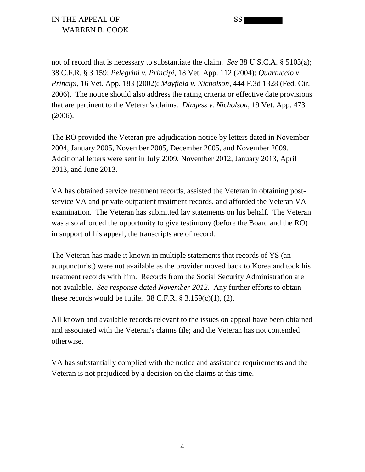not of record that is necessary to substantiate the claim. *See* 38 U.S.C.A. § 5103(a); 38 C.F.R. § 3.159; *Pelegrini v. Principi*, 18 Vet. App. 112 (2004); *Quartuccio v. Principi*, 16 Vet. App. 183 (2002); *Mayfield v. Nicholson*, 444 F.3d 1328 (Fed. Cir. 2006). The notice should also address the rating criteria or effective date provisions that are pertinent to the Veteran's claims. *Dingess v. Nicholson*, 19 Vet. App. 473 (2006).

The RO provided the Veteran pre-adjudication notice by letters dated in November 2004, January 2005, November 2005, December 2005, and November 2009. Additional letters were sent in July 2009, November 2012, January 2013, April 2013, and June 2013.

VA has obtained service treatment records, assisted the Veteran in obtaining postservice VA and private outpatient treatment records, and afforded the Veteran VA examination. The Veteran has submitted lay statements on his behalf. The Veteran was also afforded the opportunity to give testimony (before the Board and the RO) in support of his appeal, the transcripts are of record.

The Veteran has made it known in multiple statements that records of YS (an acupuncturist) were not available as the provider moved back to Korea and took his treatment records with him. Records from the Social Security Administration are not available. *See response dated November 2012.* Any further efforts to obtain these records would be futile.  $38 \text{ C.F.R.}$  §  $3.159(c)(1)$ , (2).

All known and available records relevant to the issues on appeal have been obtained and associated with the Veteran's claims file; and the Veteran has not contended otherwise.

VA has substantially complied with the notice and assistance requirements and the Veteran is not prejudiced by a decision on the claims at this time.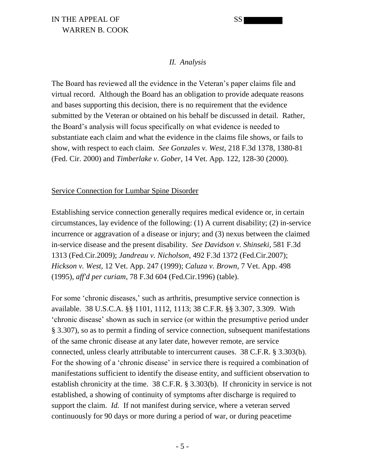### *II. Analysis*

The Board has reviewed all the evidence in the Veteran's paper claims file and virtual record. Although the Board has an obligation to provide adequate reasons and bases supporting this decision, there is no requirement that the evidence submitted by the Veteran or obtained on his behalf be discussed in detail. Rather, the Board's analysis will focus specifically on what evidence is needed to substantiate each claim and what the evidence in the claims file shows, or fails to show, with respect to each claim. *See Gonzales v. West*, 218 F.3d 1378, 1380-81 (Fed. Cir. 2000) and *Timberlake v. Gober*, 14 Vet. App. 122, 128-30 (2000).

#### Service Connection for Lumbar Spine Disorder

Establishing service connection generally requires medical evidence or, in certain circumstances, lay evidence of the following: (1) A current disability; (2) in-service incurrence or aggravation of a disease or injury; and (3) nexus between the claimed in-service disease and the present disability. *See Davidson v. Shinseki*, 581 F.3d 1313 (Fed.Cir.2009); *Jandreau v. Nicholson*, 492 F.3d 1372 (Fed.Cir.2007); *Hickson v. West*, 12 Vet. App. 247 (1999); *Caluza v. Brown*, 7 Vet. App. 498 (1995), *aff'd per curiam*, 78 F.3d 604 (Fed.Cir.1996) (table).

For some 'chronic diseases,' such as arthritis, presumptive service connection is available. 38 U.S.C.A. §§ 1101, 1112, 1113; 38 C.F.R. §§ 3.307, 3.309. With 'chronic disease' shown as such in service (or within the presumptive period under § 3.307), so as to permit a finding of service connection, subsequent manifestations of the same chronic disease at any later date, however remote, are service connected, unless clearly attributable to intercurrent causes. 38 C.F.R. § 3.303(b). For the showing of a 'chronic disease' in service there is required a combination of manifestations sufficient to identify the disease entity, and sufficient observation to establish chronicity at the time. 38 C.F.R. § 3.303(b). If chronicity in service is not established, a showing of continuity of symptoms after discharge is required to support the claim. *Id.* If not manifest during service, where a veteran served continuously for 90 days or more during a period of war, or during peacetime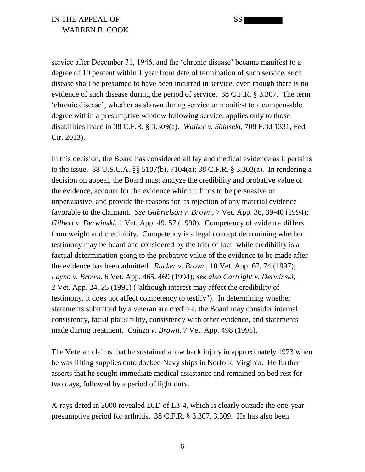IN THE APPEAL OF SSI WARREN B. COOK

service after December 31, 1946, and the 'chronic disease' became manifest to a degree of 10 percent within 1 year from date of termination of such service, such disease shall be presumed to have been incurred in service, even though there is no evidence of such disease during the period of service. 38 C.F.R. § 3.307. The term 'chronic disease', whether as shown during service or manifest to a compensable degree within a presumptive window following service, applies only to those disabilities listed in 38 C.F.R. § 3.309(a). *Walker v. Shinseki*, 708 F.3d 1331, Fed. Cir. 2013).

In this decision, the Board has considered all lay and medical evidence as it pertains to the issue. 38 U.S.C.A. §§ 5107(b), 7104(a); 38 C.F.R. § 3.303(a). In rendering a decision on appeal, the Board must analyze the credibility and probative value of the evidence, account for the evidence which it finds to be persuasive or unpersuasive, and provide the reasons for its rejection of any material evidence favorable to the claimant. *See Gabrielson v. Brown*, 7 Vet. App. 36, 39-40 (1994); *Gilbert v. Derwinski*, 1 Vet. App. 49, 57 (1990). Competency of evidence differs from weight and credibility. Competency is a legal concept determining whether testimony may be heard and considered by the trier of fact, while credibility is a factual determination going to the probative value of the evidence to be made after the evidence has been admitted. *Rucker v. Brown*, 10 Vet. App. 67, 74 (1997); *Layno v. Brown*, 6 Vet. App. 465, 469 (1994); *see also Cartright v. Derwinski*, 2 Vet. App. 24, 25 (1991) ("although interest may affect the credibility of testimony, it does not affect competency to testify"). In determining whether statements submitted by a veteran are credible, the Board may consider internal consistency, facial plausibility, consistency with other evidence, and statements made during treatment. *Caluza v. Brown*, 7 Vet. App. 498 (1995).

The Veteran claims that he sustained a low back injury in approximately 1973 when he was lifting supplies onto docked Navy ships in Norfolk, Virginia. He further asserts that he sought immediate medical assistance and remained on bed rest for two days, followed by a period of light duty.

X-rays dated in 2000 revealed DJD of L3-4, which is clearly outside the one-year presumptive period for arthritis. 38 C.F.R. § 3.307, 3.309. He has also been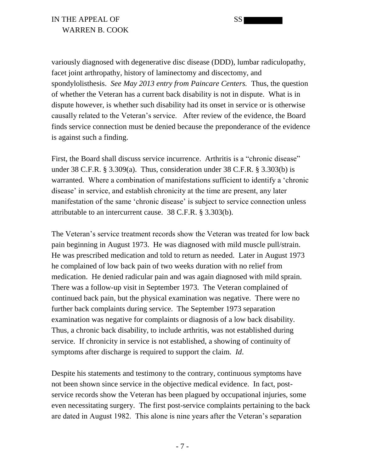variously diagnosed with degenerative disc disease (DDD), lumbar radiculopathy, facet joint arthropathy, history of laminectomy and discectomy, and spondylolisthesis. *See May 2013 entry from Paincare Centers.* Thus, the question of whether the Veteran has a current back disability is not in dispute. What is in dispute however, is whether such disability had its onset in service or is otherwise causally related to the Veteran's service. After review of the evidence, the Board finds service connection must be denied because the preponderance of the evidence is against such a finding.

First, the Board shall discuss service incurrence. Arthritis is a "chronic disease" under 38 C.F.R. § 3.309(a). Thus, consideration under 38 C.F.R. § 3.303(b) is warranted. Where a combination of manifestations sufficient to identify a 'chronic disease' in service, and establish chronicity at the time are present, any later manifestation of the same 'chronic disease' is subject to service connection unless attributable to an intercurrent cause. 38 C.F.R. § 3.303(b).

The Veteran's service treatment records show the Veteran was treated for low back pain beginning in August 1973. He was diagnosed with mild muscle pull/strain. He was prescribed medication and told to return as needed. Later in August 1973 he complained of low back pain of two weeks duration with no relief from medication. He denied radicular pain and was again diagnosed with mild sprain. There was a follow-up visit in September 1973. The Veteran complained of continued back pain, but the physical examination was negative. There were no further back complaints during service. The September 1973 separation examination was negative for complaints or diagnosis of a low back disability. Thus, a chronic back disability, to include arthritis, was not established during service. If chronicity in service is not established, a showing of continuity of symptoms after discharge is required to support the claim. *Id*.

Despite his statements and testimony to the contrary, continuous symptoms have not been shown since service in the objective medical evidence. In fact, postservice records show the Veteran has been plagued by occupational injuries, some even necessitating surgery. The first post-service complaints pertaining to the back are dated in August 1982. This alone is nine years after the Veteran's separation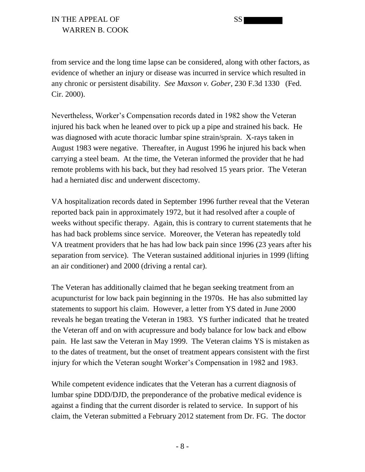from service and the long time lapse can be considered, along with other factors, as evidence of whether an injury or disease was incurred in service which resulted in any chronic or persistent disability. *See Maxson v. Gober*, 230 F.3d 1330 (Fed. Cir. 2000).

Nevertheless, Worker's Compensation records dated in 1982 show the Veteran injured his back when he leaned over to pick up a pipe and strained his back. He was diagnosed with acute thoracic lumbar spine strain/sprain. X-rays taken in August 1983 were negative. Thereafter, in August 1996 he injured his back when carrying a steel beam. At the time, the Veteran informed the provider that he had remote problems with his back, but they had resolved 15 years prior. The Veteran had a herniated disc and underwent discectomy.

VA hospitalization records dated in September 1996 further reveal that the Veteran reported back pain in approximately 1972, but it had resolved after a couple of weeks without specific therapy. Again, this is contrary to current statements that he has had back problems since service. Moreover, the Veteran has repeatedly told VA treatment providers that he has had low back pain since 1996 (23 years after his separation from service). The Veteran sustained additional injuries in 1999 (lifting an air conditioner) and 2000 (driving a rental car).

The Veteran has additionally claimed that he began seeking treatment from an acupuncturist for low back pain beginning in the 1970s. He has also submitted lay statements to support his claim. However, a letter from YS dated in June 2000 reveals he began treating the Veteran in 1983. YS further indicated that he treated the Veteran off and on with acupressure and body balance for low back and elbow pain. He last saw the Veteran in May 1999. The Veteran claims YS is mistaken as to the dates of treatment, but the onset of treatment appears consistent with the first injury for which the Veteran sought Worker's Compensation in 1982 and 1983.

While competent evidence indicates that the Veteran has a current diagnosis of lumbar spine DDD/DJD, the preponderance of the probative medical evidence is against a finding that the current disorder is related to service. In support of his claim, the Veteran submitted a February 2012 statement from Dr. FG. The doctor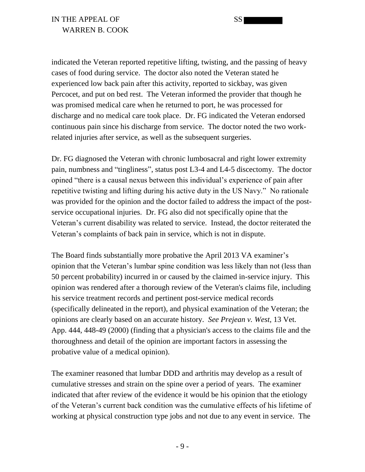indicated the Veteran reported repetitive lifting, twisting, and the passing of heavy cases of food during service. The doctor also noted the Veteran stated he experienced low back pain after this activity, reported to sickbay, was given Percocet, and put on bed rest. The Veteran informed the provider that though he was promised medical care when he returned to port, he was processed for discharge and no medical care took place. Dr. FG indicated the Veteran endorsed continuous pain since his discharge from service. The doctor noted the two workrelated injuries after service, as well as the subsequent surgeries.

Dr. FG diagnosed the Veteran with chronic lumbosacral and right lower extremity pain, numbness and "tingliness", status post L3-4 and L4-5 discectomy. The doctor opined "there is a causal nexus between this individual's experience of pain after repetitive twisting and lifting during his active duty in the US Navy." No rationale was provided for the opinion and the doctor failed to address the impact of the postservice occupational injuries. Dr. FG also did not specifically opine that the Veteran's current disability was related to service. Instead, the doctor reiterated the Veteran's complaints of back pain in service, which is not in dispute.

The Board finds substantially more probative the April 2013 VA examiner's opinion that the Veteran's lumbar spine condition was less likely than not (less than 50 percent probability) incurred in or caused by the claimed in-service injury. This opinion was rendered after a thorough review of the Veteran's claims file, including his service treatment records and pertinent post-service medical records (specifically delineated in the report), and physical examination of the Veteran; the opinions are clearly based on an accurate history. *See Prejean v. West*, 13 Vet. App. 444, 448-49 (2000) (finding that a physician's access to the claims file and the thoroughness and detail of the opinion are important factors in assessing the probative value of a medical opinion).

The examiner reasoned that lumbar DDD and arthritis may develop as a result of cumulative stresses and strain on the spine over a period of years. The examiner indicated that after review of the evidence it would be his opinion that the etiology of the Veteran's current back condition was the cumulative effects of his lifetime of working at physical construction type jobs and not due to any event in service. The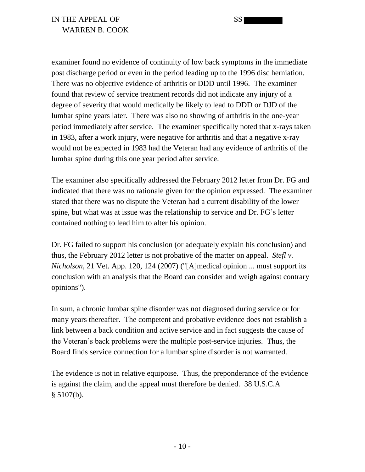examiner found no evidence of continuity of low back symptoms in the immediate post discharge period or even in the period leading up to the 1996 disc herniation. There was no objective evidence of arthritis or DDD until 1996. The examiner found that review of service treatment records did not indicate any injury of a degree of severity that would medically be likely to lead to DDD or DJD of the lumbar spine years later. There was also no showing of arthritis in the one-year period immediately after service. The examiner specifically noted that x-rays taken in 1983, after a work injury, were negative for arthritis and that a negative x-ray would not be expected in 1983 had the Veteran had any evidence of arthritis of the lumbar spine during this one year period after service.

The examiner also specifically addressed the February 2012 letter from Dr. FG and indicated that there was no rationale given for the opinion expressed. The examiner stated that there was no dispute the Veteran had a current disability of the lower spine, but what was at issue was the relationship to service and Dr. FG's letter contained nothing to lead him to alter his opinion.

Dr. FG failed to support his conclusion (or adequately explain his conclusion) and thus, the February 2012 letter is not probative of the matter on appeal. *Stefl v. Nicholson*, 21 Vet. App. 120, 124 (2007) ("[A]medical opinion ... must support its conclusion with an analysis that the Board can consider and weigh against contrary opinions").

In sum, a chronic lumbar spine disorder was not diagnosed during service or for many years thereafter. The competent and probative evidence does not establish a link between a back condition and active service and in fact suggests the cause of the Veteran's back problems were the multiple post-service injuries. Thus, the Board finds service connection for a lumbar spine disorder is not warranted.

The evidence is not in relative equipoise. Thus, the preponderance of the evidence is against the claim, and the appeal must therefore be denied. 38 U.S.C.A § 5107(b).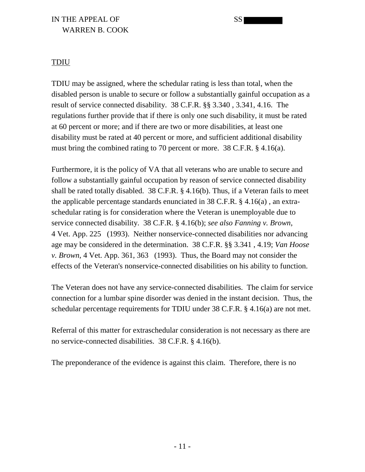### IN THE APPEAL OF SSI WARREN B. COOK

#### TDIU

TDIU may be assigned, where the schedular rating is less than total, when the disabled person is unable to secure or follow a substantially gainful occupation as a result of service connected disability. 38 C.F.R. §§ 3.340 , 3.341, 4.16. The regulations further provide that if there is only one such disability, it must be rated at 60 percent or more; and if there are two or more disabilities, at least one disability must be rated at 40 percent or more, and sufficient additional disability must bring the combined rating to 70 percent or more. 38 C.F.R. § 4.16(a).

Furthermore, it is the policy of VA that all veterans who are unable to secure and follow a substantially gainful occupation by reason of service connected disability shall be rated totally disabled. 38 C.F.R. § 4.16(b). Thus, if a Veteran fails to meet the applicable percentage standards enunciated in 38 C.F.R. § 4.16(a) , an extraschedular rating is for consideration where the Veteran is unemployable due to service connected disability. 38 C.F.R. § 4.16(b); *see also Fanning v. Brown*, 4 Vet. App. 225 (1993). Neither nonservice-connected disabilities nor advancing age may be considered in the determination. 38 C.F.R. §§ 3.341 , 4.19; *Van Hoose v. Brown*, 4 Vet. App. 361, 363 (1993). Thus, the Board may not consider the effects of the Veteran's nonservice-connected disabilities on his ability to function.

The Veteran does not have any service-connected disabilities. The claim for service connection for a lumbar spine disorder was denied in the instant decision. Thus, the schedular percentage requirements for TDIU under 38 C.F.R. § 4.16(a) are not met.

Referral of this matter for extraschedular consideration is not necessary as there are no service-connected disabilities. 38 C.F.R. § 4.16(b).

The preponderance of the evidence is against this claim. Therefore, there is no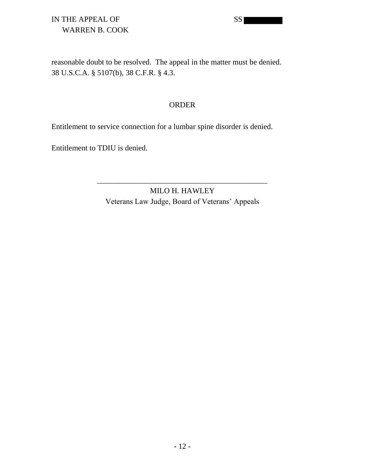# IN THE APPEAL OF SS WARREN B. COOK

reasonable doubt to be resolved. The appeal in the matter must be denied. 38 U.S.C.A. § 5107(b), 38 C.F.R. § 4.3.

#### ORDER

Entitlement to service connection for a lumbar spine disorder is denied.

Entitlement to TDIU is denied.

MILO H. HAWLEY Veterans Law Judge, Board of Veterans' Appeals

\_\_\_\_\_\_\_\_\_\_\_\_\_\_\_\_\_\_\_\_\_\_\_\_\_\_\_\_\_\_\_\_\_\_\_\_\_\_\_\_\_\_\_\_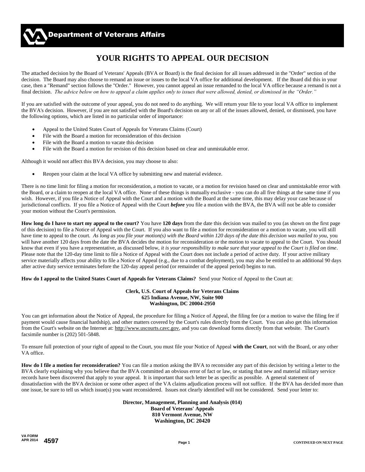# **YOUR RIGHTS TO APPEAL OUR DECISION**

The attached decision by the Board of Veterans' Appeals (BVA or Board) is the final decision for all issues addressed in the "Order" section of the decision. The Board may also choose to remand an issue or issues to the local VA office for additional development. If the Board did this in your case, then a "Remand" section follows the "Order." However, you cannot appeal an issue remanded to the local VA office because a remand is not a final decision. *The advice below on how to appeal a claim applies only to issues that were allowed, denied, or dismissed in the "Order."*

If you are satisfied with the outcome of your appeal, you do not need to do anything. We will return your file to your local VA office to implement the BVA's decision. However, if you are not satisfied with the Board's decision on any or all of the issues allowed, denied, or dismissed, you have the following options, which are listed in no particular order of importance:

- Appeal to the United States Court of Appeals for Veterans Claims (Court)
- File with the Board a motion for reconsideration of this decision
- File with the Board a motion to vacate this decision
- File with the Board a motion for revision of this decision based on clear and unmistakable error.

Although it would not affect this BVA decision, you may choose to also:

Reopen your claim at the local VA office by submitting new and material evidence.

There is *no* time limit for filing a motion for reconsideration, a motion to vacate, or a motion for revision based on clear and unmistakable error with the Board, or a claim to reopen at the local VA office. None of these things is mutually exclusive - you can do all five things at the same time if you wish. However, if you file a Notice of Appeal with the Court and a motion with the Board at the same time, this may delay your case because of jurisdictional conflicts. If you file a Notice of Appeal with the Court *before* you file a motion with the BVA, the BVA will not be able to consider your motion without the Court's permission.

**How long do I have to start my appeal to the court?** You have **120 days** from the date this decision was mailed to you (as shown on the first page of this decision) to file a Notice of Appeal with the Court. If you also want to file a motion for reconsideration or a motion to vacate, you will still have time to appeal to the court. *As long as you file your motion(s) with the Board within 120 days of the date this decision was mailed to you,* you will have another 120 days from the date the BVA decides the motion for reconsideration or the motion to vacate to appeal to the Court. You should know that even if you have a representative, as discussed below, *it is your responsibility to make sure that your appeal to the Court is filed on time*. Please note that the 120-day time limit to file a Notice of Appeal with the Court does not include a period of active duty. If your active military service materially affects your ability to file a Notice of Appeal (e.g., due to a combat deployment), you may also be entitled to an additional 90 days after active duty service terminates before the 120-day appeal period (or remainder of the appeal period) begins to run.

**How do I appeal to the United States Court of Appeals for Veterans Claims?** Send your Notice of Appeal to the Court at:

#### **Clerk, U.S. Court of Appeals for Veterans Claims 625 Indiana Avenue, NW, Suite 900 Washington, DC 20004-2950**

You can get information about the Notice of Appeal, the procedure for filing a Notice of Appeal, the filing fee (or a motion to waive the filing fee if payment would cause financial hardship), and other matters covered by the Court's rules directly from the Court. You can also get this information from the Court's website on the Internet at: http://www.uscourts.cavc.gov, and you can download forms directly from that website. The Court's facsimile number is (202) 501-5848.

To ensure full protection of your right of appeal to the Court, you must file your Notice of Appeal **with the Court**, not with the Board, or any other VA office.

**How do I file a motion for reconsideration?** You can file a motion asking the BVA to reconsider any part of this decision by writing a letter to the BVA clearly explaining why you believe that the BVA committed an obvious error of fact or law, or stating that new and material military service records have been discovered that apply to your appeal. It is important that such letter be as specific as possible. A general statement of dissatisfaction with the BVA decision or some other aspect of the VA claims adjudication process will not suffice. If the BVA has decided more than one issue, be sure to tell us which issue(s) you want reconsidered. Issues not clearly identified will not be considered. Send your letter to:

> **Director, Management, Planning and Analysis (014) Board of Veterans' Appeals 810 Vermont Avenue, NW Washington, DC 20420**